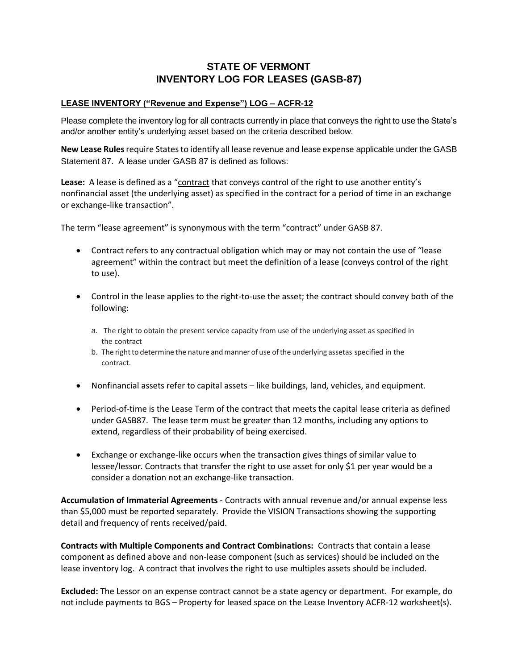# **STATE OF VERMONT INVENTORY LOG FOR LEASES (GASB-87)**

#### **LEASE INVENTORY ("Revenue and Expense") LOG – ACFR-12**

Please complete the inventory log for all contracts currently in place that conveys the right to use the State's and/or another entity's underlying asset based on the criteria described below.

**New Lease Rules** require States to identify all lease revenue and lease expense applicable under the GASB Statement 87. A lease under GASB 87 is defined as follows:

**Lease:** A lease is defined as a "contract that conveys control of the right to use another entity's nonfinancial asset (the underlying asset) as specified in the contract for a period of time in an exchange or exchange-like transaction".

The term "lease agreement" is synonymous with the term "contract" under GASB 87.

- Contract refers to any contractual obligation which may or may not contain the use of "lease agreement" within the contract but meet the definition of a lease (conveys control of the right to use).
- Control in the lease applies to the right-to-use the asset; the contract should convey both of the following:
	- a. The right to obtain the present service capacity from use of the underlying asset as specified in the contract
	- b. The right to determine the nature and manner of use of the underlying assetas specified in the contract.
- Nonfinancial assets refer to capital assets like buildings, land, vehicles, and equipment.
- Period-of-time is the Lease Term of the contract that meets the capital lease criteria as defined under GASB87. The lease term must be greater than 12 months, including any options to extend, regardless of their probability of being exercised.
- Exchange or exchange-like occurs when the transaction gives things of similar value to lessee/lessor. Contracts that transfer the right to use asset for only \$1 per year would be a consider a donation not an exchange-like transaction.

**Accumulation of Immaterial Agreements** - Contracts with annual revenue and/or annual expense less than \$5,000 must be reported separately. Provide the VISION Transactions showing the supporting detail and frequency of rents received/paid.

**Contracts with Multiple Components and Contract Combinations:** Contracts that contain a lease component as defined above and non-lease component (such as services) should be included on the lease inventory log. A contract that involves the right to use multiples assets should be included.

**Excluded:** The Lessor on an expense contract cannot be a state agency or department. For example, do not include payments to BGS – Property for leased space on the Lease Inventory ACFR-12 worksheet(s).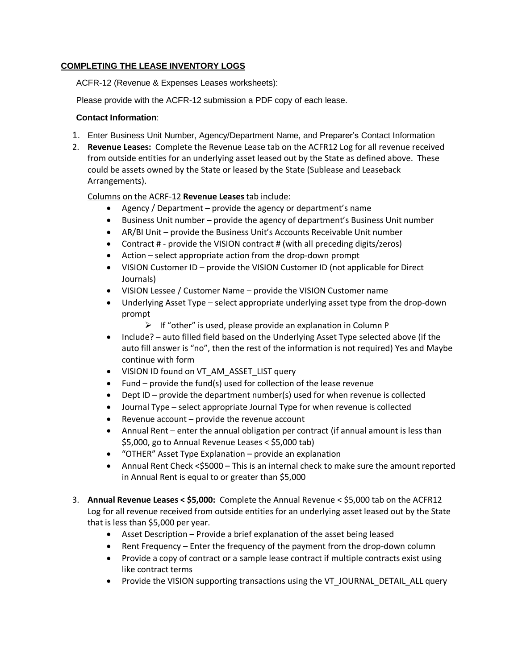## **COMPLETING THE LEASE INVENTORY LOGS**

ACFR-12 (Revenue & Expenses Leases worksheets):

Please provide with the ACFR-12 submission a PDF copy of each lease.

#### **Contact Information**:

- 1. Enter Business Unit Number, Agency/Department Name, and Preparer's Contact Information
- 2. **Revenue Leases:** Complete the Revenue Lease tab on the ACFR12 Log for all revenue received from outside entities for an underlying asset leased out by the State as defined above. These could be assets owned by the State or leased by the State (Sublease and Leaseback Arrangements).

## Columns on the ACRF-12 **Revenue Leases** tab include:

- Agency / Department provide the agency or department's name
- Business Unit number provide the agency of department's Business Unit number
- AR/BI Unit provide the Business Unit's Accounts Receivable Unit number
- Contract # provide the VISION contract # (with all preceding digits/zeros)
- Action select appropriate action from the drop-down prompt
- VISION Customer ID provide the VISION Customer ID (not applicable for Direct Journals)
- VISION Lessee / Customer Name provide the VISION Customer name
- Underlying Asset Type select appropriate underlying asset type from the drop-down prompt
	- $\triangleright$  If "other" is used, please provide an explanation in Column P
- Include? auto filled field based on the Underlying Asset Type selected above (if the auto fill answer is "no", then the rest of the information is not required) Yes and Maybe continue with form
- VISION ID found on VT\_AM\_ASSET\_LIST query
- Fund provide the fund(s) used for collection of the lease revenue
- Dept ID provide the department number(s) used for when revenue is collected
- Journal Type select appropriate Journal Type for when revenue is collected
- Revenue  $account provide$  the revenue  $account -$
- Annual Rent enter the annual obligation per contract (if annual amount is less than \$5,000, go to Annual Revenue Leases < \$5,000 tab)
- "OTHER" Asset Type Explanation provide an explanation
- Annual Rent Check <\$5000 This is an internal check to make sure the amount reported in Annual Rent is equal to or greater than \$5,000
- 3. **Annual Revenue Leases < \$5,000:** Complete the Annual Revenue < \$5,000 tab on the ACFR12 Log for all revenue received from outside entities for an underlying asset leased out by the State that is less than \$5,000 per year.
	- Asset Description Provide a brief explanation of the asset being leased
	- Rent Frequency Enter the frequency of the payment from the drop-down column
	- Provide a copy of contract or a sample lease contract if multiple contracts exist using like contract terms
	- Provide the VISION supporting transactions using the VT\_JOURNAL\_DETAIL\_ALL query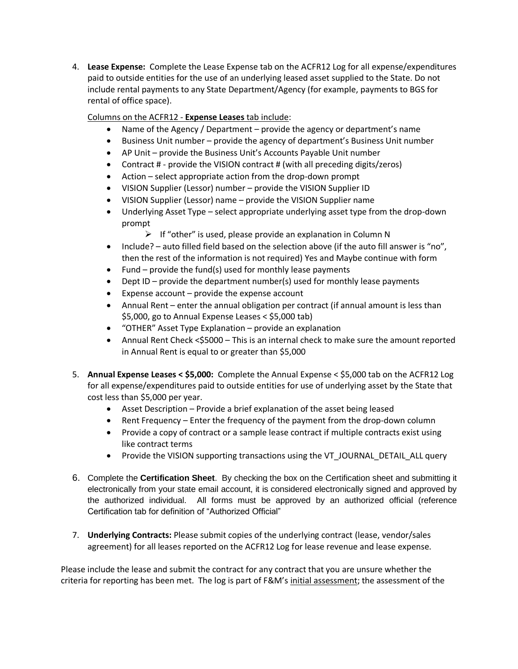4. **Lease Expense:** Complete the Lease Expense tab on the ACFR12 Log for all expense/expenditures paid to outside entities for the use of an underlying leased asset supplied to the State. Do not include rental payments to any State Department/Agency (for example, payments to BGS for rental of office space).

Columns on the ACFR12 - **Expense Leases** tab include:

- Name of the Agency / Department provide the agency or department's name
- Business Unit number provide the agency of department's Business Unit number
- AP Unit provide the Business Unit's Accounts Payable Unit number
- Contract # provide the VISION contract # (with all preceding digits/zeros)
- Action select appropriate action from the drop-down prompt
- VISION Supplier (Lessor) number provide the VISION Supplier ID
- VISION Supplier (Lessor) name provide the VISION Supplier name
- Underlying Asset Type select appropriate underlying asset type from the drop-down prompt
	- $\triangleright$  If "other" is used, please provide an explanation in Column N
- Include? auto filled field based on the selection above (if the auto fill answer is "no", then the rest of the information is not required) Yes and Maybe continue with form
- Fund provide the fund(s) used for monthly lease payments
- Dept ID provide the department number(s) used for monthly lease payments
- Expense account provide the expense account
- Annual Rent enter the annual obligation per contract (if annual amount is less than \$5,000, go to Annual Expense Leases < \$5,000 tab)
- "OTHER" Asset Type Explanation provide an explanation
- Annual Rent Check <\$5000 This is an internal check to make sure the amount reported in Annual Rent is equal to or greater than \$5,000
- 5. **Annual Expense Leases < \$5,000:** Complete the Annual Expense < \$5,000 tab on the ACFR12 Log for all expense/expenditures paid to outside entities for use of underlying asset by the State that cost less than \$5,000 per year.
	- Asset Description Provide a brief explanation of the asset being leased
	- Rent Frequency Enter the frequency of the payment from the drop-down column
	- Provide a copy of contract or a sample lease contract if multiple contracts exist using like contract terms
	- Provide the VISION supporting transactions using the VT\_JOURNAL\_DETAIL\_ALL query
- 6. Complete the **Certification Sheet**. By checking the box on the Certification sheet and submitting it electronically from your state email account, it is considered electronically signed and approved by the authorized individual. All forms must be approved by an authorized official (reference Certification tab for definition of "Authorized Official"
- 7. **Underlying Contracts:** Please submit copies of the underlying contract (lease, vendor/sales agreement) for all leases reported on the ACFR12 Log for lease revenue and lease expense.

Please include the lease and submit the contract for any contract that you are unsure whether the criteria for reporting has been met. The log is part of F&M's initial assessment; the assessment of the